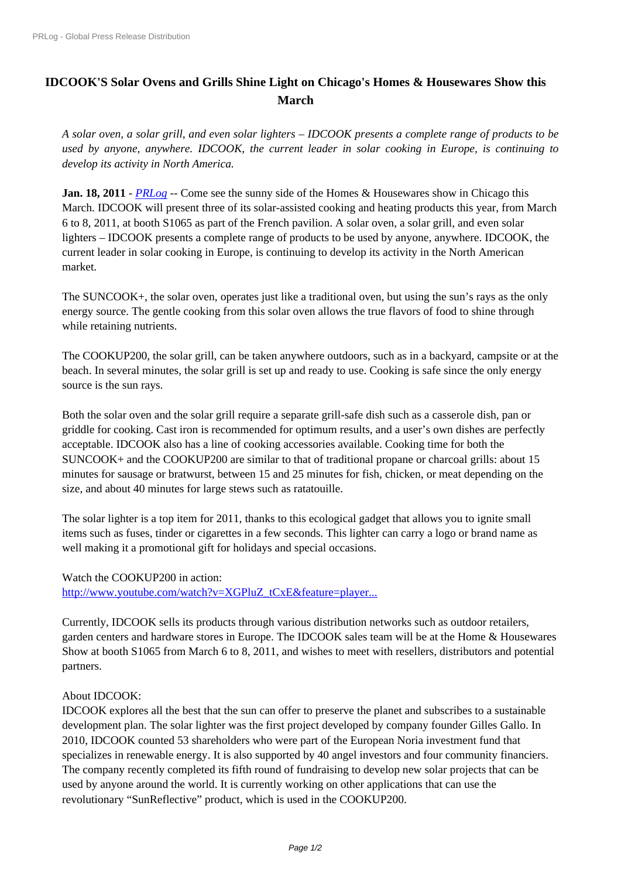## **[IDCOOK](https://www.prlog.org/)'[S Solar Ovens an](https://www.prlog.org/)d Grills Shine Light on Chicago's Homes & Housewares Show this March**

*A solar oven, a solar grill, and even solar lighters – IDCOOK presents a complete range of products to be used by anyone, anywhere. IDCOOK, the current leader in solar cooking in Europe, is continuing to develop its activity in North America.*

**Jan. 18, 2011** - *PRLog* -- Come see the sunny side of the Homes & Housewares show in Chicago this March. IDCOOK will present three of its solar-assisted cooking and heating products this year, from March 6 to 8, 2011, at booth S1065 as part of the French pavilion. A solar oven, a solar grill, and even solar lighters – IDC[OOK pre](https://www.prlog.org)sents a complete range of products to be used by anyone, anywhere. IDCOOK, the current leader in solar cooking in Europe, is continuing to develop its activity in the North American market.

The SUNCOOK+, the solar oven, operates just like a traditional oven, but using the sun's rays as the only energy source. The gentle cooking from this solar oven allows the true flavors of food to shine through while retaining nutrients.

The COOKUP200, the solar grill, can be taken anywhere outdoors, such as in a backyard, campsite or at the beach. In several minutes, the solar grill is set up and ready to use. Cooking is safe since the only energy source is the sun rays.

Both the solar oven and the solar grill require a separate grill-safe dish such as a casserole dish, pan or griddle for cooking. Cast iron is recommended for optimum results, and a user's own dishes are perfectly acceptable. IDCOOK also has a line of cooking accessories available. Cooking time for both the SUNCOOK+ and the COOKUP200 are similar to that of traditional propane or charcoal grills: about 15 minutes for sausage or bratwurst, between 15 and 25 minutes for fish, chicken, or meat depending on the size, and about 40 minutes for large stews such as ratatouille.

The solar lighter is a top item for 2011, thanks to this ecological gadget that allows you to ignite small items such as fuses, tinder or cigarettes in a few seconds. This lighter can carry a logo or brand name as well making it a promotional gift for holidays and special occasions.

Watch the COOKUP200 in action:

http://www.youtube.com/watch?v=XGPluZ\_tCxE&feature=player...

Currently, IDCOOK sells its products through various distribution networks such as outdoor retailers, garden centers and hardware stores in Europe. The IDCOOK sales team will be at the Home & Housewares [Show at booth S1065 from March 6 to 8, 2011, and wishes to meet w](http://www.youtube.com/watch?v=XGPluZ_tCxE&feature=player_embedded)ith resellers, distributors and potential partners.

## About IDCOOK:

IDCOOK explores all the best that the sun can offer to preserve the planet and subscribes to a sustainable development plan. The solar lighter was the first project developed by company founder Gilles Gallo. In 2010, IDCOOK counted 53 shareholders who were part of the European Noria investment fund that specializes in renewable energy. It is also supported by 40 angel investors and four community financiers. The company recently completed its fifth round of fundraising to develop new solar projects that can be used by anyone around the world. It is currently working on other applications that can use the revolutionary "SunReflective" product, which is used in the COOKUP200.